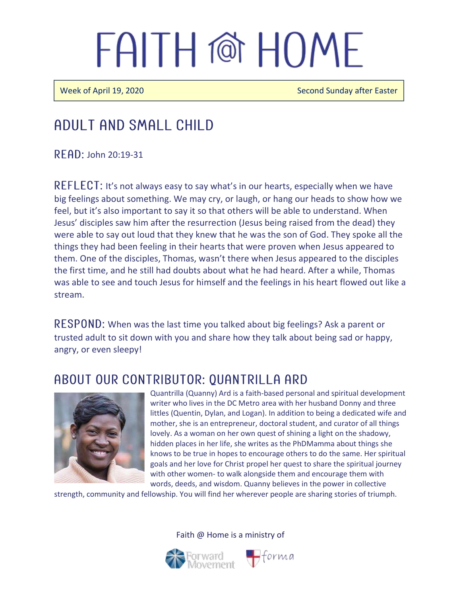# FAITH @ HOMF

Week of April 19, 2020 Second Sunday after Easter

### Adult and Small Child

 $R$  FAD: John 20:19-31

 $REFLECT: It's not always easy to say what's in our hearts, especially when we have$ big feelings about something. We may cry, or laugh, or hang our heads to show how we feel, but it's also important to say it so that others will be able to understand. When Jesus' disciples saw him after the resurrection (Jesus being raised from the dead) they were able to say out loud that they knew that he was the son of God. They spoke all the things they had been feeling in their hearts that were proven when Jesus appeared to them. One of the disciples, Thomas, wasn't there when Jesus appeared to the disciples the first time, and he still had doubts about what he had heard. After a while, Thomas was able to see and touch Jesus for himself and the feelings in his heart flowed out like a stream.

RESPOND: When was the last time you talked about big feelings? Ask a parent or trusted adult to sit down with you and share how they talk about being sad or happy, angry, or even sleepy!

#### ABOUT OUR CONTRIBUTOR: QUANTRILLA ARD



Quantrilla (Quanny) Ard is a faith-based personal and spiritual development writer who lives in the DC Metro area with her husband Donny and three littles (Quentin, Dylan, and Logan). In addition to being a dedicated wife and mother, she is an entrepreneur, doctoral student, and curator of all things lovely. As a woman on her own quest of shining a light on the shadowy, hidden places in her life, she writes as the PhDMamma about things she knows to be true in hopes to encourage others to do the same. Her spiritual goals and her love for Christ propel her quest to share the spiritual journey with other women- to walk alongside them and encourage them with words, deeds, and wisdom. Quanny believes in the power in collective

strength, community and fellowship. You will find her wherever people are sharing stories of triumph.

Faith @ Home is a ministry of

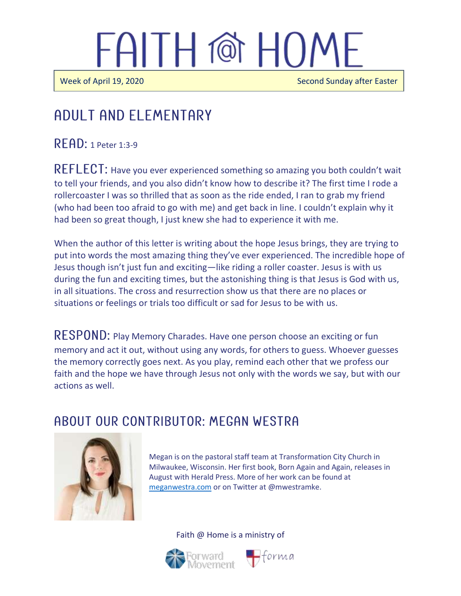# FAITH @ HOME

 $\overline{\phantom{a}}$ 

Ī

Week of April 19, 2020 Second Sunday after Easter

### Adult and elementary

 $READ: 1$  Peter 1:3-9

REFLECT: Have you ever experienced something so amazing you both couldn't wait to tell your friends, and you also didn't know how to describe it? The first time I rode a rollercoaster I was so thrilled that as soon as the ride ended, I ran to grab my friend (who had been too afraid to go with me) and get back in line. I couldn't explain why it had been so great though, I just knew she had to experience it with me.

When the author of this letter is writing about the hope Jesus brings, they are trying to put into words the most amazing thing they've ever experienced. The incredible hope of Jesus though isn't just fun and exciting—like riding a roller coaster. Jesus is with us during the fun and exciting times, but the astonishing thing is that Jesus is God with us, in all situations. The cross and resurrection show us that there are no places or situations or feelings or trials too difficult or sad for Jesus to be with us.

RESPOND: Play Memory Charades. Have one person choose an exciting or fun memory and act it out, without using any words, for others to guess. Whoever guesses the memory correctly goes next. As you play, remind each other that we profess our faith and the hope we have through Jesus not only with the words we say, but with our actions as well.

#### ABOUT OUR CONTRIBUTOR: MEGAN WESTRA



Megan is on the pastoral staff team at Transformation City Church in Milwaukee, Wisconsin. Her first book, Born Again and Again, releases in August with Herald Press. More of her work can be found at [meganwestra.com](https://meganwestra.com/) or on Twitter at @mwestramke.





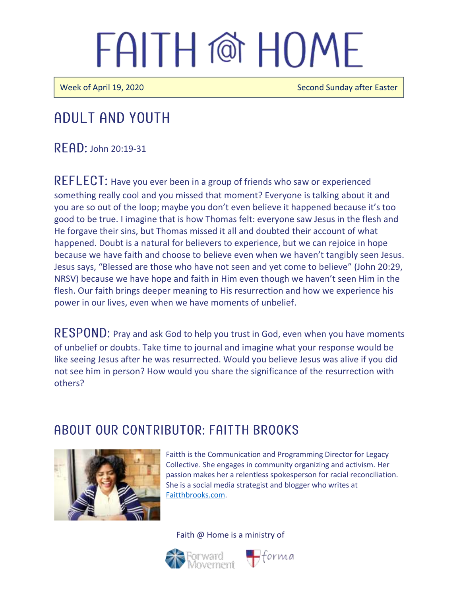# FAITH @ HOME

Week of April 19, 2020 Second Sunday after Easter

### Adult and youth

 $R$   $F$  $R$  $D$ : John 20:19-31

REFLECT: Have you ever been in a group of friends who saw or experienced something really cool and you missed that moment? Everyone is talking about it and you are so out of the loop; maybe you don't even believe it happened because it's too good to be true. I imagine that is how Thomas felt: everyone saw Jesus in the flesh and He forgave their sins, but Thomas missed it all and doubted their account of what happened. Doubt is a natural for believers to experience, but we can rejoice in hope because we have faith and choose to believe even when we haven't tangibly seen Jesus. Jesus says, "Blessed are those who have not seen and yet come to believe" (John 20:29, NRSV) because we have hope and faith in Him even though we haven't seen Him in the flesh. Our faith brings deeper meaning to His resurrection and how we experience his power in our lives, even when we have moments of unbelief.

RESPOND: Pray and ask God to help you trust in God, even when you have moments of unbelief or doubts. Take time to journal and imagine what your response would be like seeing Jesus after he was resurrected. Would you believe Jesus was alive if you did not see him in person? How would you share the significance of the resurrection with others?

#### A BOUT OUR CONTRIBUTOR: FAITTH BROOKS



Faitth is the Communication and Programming Director for Legacy Collective. She engages in community organizing and activism. Her passion makes her a relentless spokesperson for racial reconciliation. She is a social media strategist and blogger who writes at [Faitthbrooks.com.](https://faitthbrooks.com/)

#### Faith @ Home is a ministry of